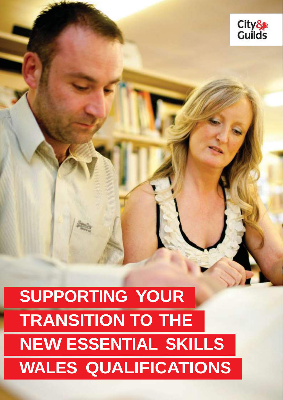

# **SUPPORTING YOUR TRANSITION TO THE NEW ESSENTIAL SKILLS WALES QUALIFICATIONS**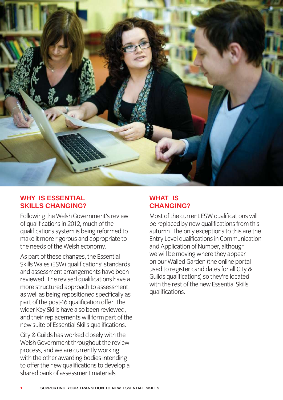

#### **WHY IS ESSENTIAL SKILLS CHANGING?**

Following the Welsh Government's review<br>of qualifications in 2012, much of the qualifications system is being reformed to make it more rigorous and appropriate to the needs of the Welsh economy.

As part of these changes, the Essential Skills Wales (ESW) qualifications' standards and assessment arrangements have been reviewed. The revised qualifications have a more structured approach to assessment, as well as being repositioned specifically as part of the post-16 qualification offer. The wider Key Skills have also been reviewed. and their replacements will form part of the new suite of Essential Skills qualifications.

City & Guilds has worked closely with the Welsh Government throughout the review process, and we are currently working with the other awarding bodies intending to offer the new qualifications to develop a shared bank of assessment materials shared bank of assessment materials.

### **WHAT IS CHANGING?**

Most of the current ESW qualifications will<br>be replaced by new qualifications from this autumn. The only exceptions to this are the Entry Level qualifications in Communication and Application of Number, although we will be moving where they appear on our Walled Garden (the online portal used to register candidates for all City & Guilds qualifications) so they're located with the rest of the new Essential Skills qualifications. qualifications.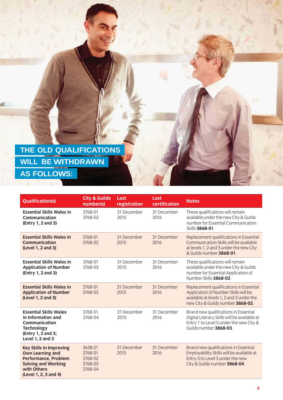| <b>THE OLD QUALIFICATIONS</b> |  |
|-------------------------------|--|
| <b>WILL BE WITHDRAWN</b>      |  |
| <b>AS FOLLOWS:</b>            |  |

| <b>Qualification(s)</b>                                                                                                                                        | <b>City &amp; Guilds</b><br>number(s)               | Last<br>registration | Last<br>certification | <b>Notes</b>                                                                                                                                                     |
|----------------------------------------------------------------------------------------------------------------------------------------------------------------|-----------------------------------------------------|----------------------|-----------------------|------------------------------------------------------------------------------------------------------------------------------------------------------------------|
| <b>Essential Skills Wales in</b><br><b>Communication</b><br>(Entry 1, 2 and 3)                                                                                 | 3768-01<br>3768-02                                  | 31 December<br>2015  | 31 December<br>2016   | These qualifications will remain<br>available under the new City & Guilds<br>number for Essential Communication<br>Skills 3868-01.                               |
| <b>Essential Skills Wales in</b><br><b>Communication</b><br>(Level 1, 2 and 3)                                                                                 | 3768-01<br>3768-02                                  | 31 December<br>2015  | 31 December<br>2016   | Replacement qualifications in Essential<br>Communication Skills will be available<br>at levels 1, 2 and 3 under the new City<br>& Guilds number 3868-01.         |
| <b>Essential Skills Wales in</b><br><b>Application of Number</b><br>(Entry 1, 2 and 3)                                                                         | 3768-01<br>3768-03                                  | 31 December<br>2015  | 31 December<br>2016   | These qualifications will remain<br>available under the new City & Guilds<br>number for Essential Application of<br>Number Skills 3868-02.                       |
| <b>Essential Skills Wales in</b><br><b>Application of Number</b><br>(Level 1, 2 and 3)                                                                         | 3768-01<br>3768-03                                  | 31 December<br>2015  | 31 December<br>2016   | Replacement qualifications in Essential<br>Application of Number Skills will be<br>available at levels 1, 2 and 3 under the<br>new City & Guilds number 3868-02. |
| <b>Essential Skills Wales</b><br>in Information and<br>Communication<br><b>Technology</b><br>(Entry 1, 2 and 3;<br><b>Level 1, 2 and 3</b>                     | 3768-01<br>3768-04                                  | 31 December<br>2015  | 31 December<br>2016   | Brand new qualifications in Essential<br>Digital Literacy Skills will be available at<br>Entry 1 to Level 3 under the new City &<br>Guilds number 3868-03.       |
| <b>Key Skills in Improving</b><br><b>Own Learning and</b><br><b>Performance, Problem</b><br><b>Solving and Working</b><br>with Others<br>(Level 1, 2, 3 and 4) | 3638-21<br>3768-01<br>3768-02<br>3768-03<br>3768-04 | 31 December<br>2015  | 31 December<br>2016   | Brand new qualifications in Essential<br>Employability Skills will be available at<br>Entry 3 to Level 3 under the new<br>City & Guilds number 3868-04.          |
|                                                                                                                                                                |                                                     |                      |                       |                                                                                                                                                                  |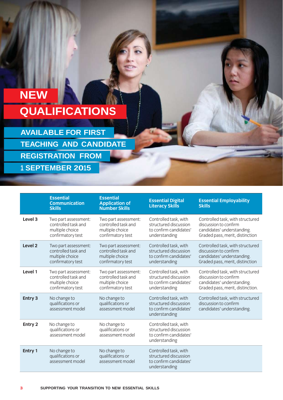## **NEW QUALIFICATIONS**

**AVAILABLE FOR FIRST TEACHING AND CANDIDATE REGISTRATION FROM <sup>1</sup> SEPTEMBER 2015**

|                    | <b>Essential</b><br><b>Communication</b><br><b>Skills</b>                           | <b>Essential</b><br><b>Application of</b><br><b>Number Skills</b>                   | <b>Essential Digital</b><br><b>Literacy Skills</b>                                        | <b>Essential Employability</b><br><b>Skills</b>                                                                             |
|--------------------|-------------------------------------------------------------------------------------|-------------------------------------------------------------------------------------|-------------------------------------------------------------------------------------------|-----------------------------------------------------------------------------------------------------------------------------|
| Level <sub>3</sub> | Two part assessment:<br>controlled task and<br>multiple choice<br>confirmatory test | Two part assessment:<br>controlled task and<br>multiple choice<br>confirmatory test | Controlled task, with<br>structured discussion<br>to confirm candidates'<br>understanding | Controlled task, with structured<br>discussion to confirm<br>candidates' understanding.<br>Graded pass, merit, distinction  |
| Level <sub>2</sub> | Two part assessment:<br>controlled task and<br>multiple choice<br>confirmatory test | Two part assessment:<br>controlled task and<br>multiple choice<br>confirmatory test | Controlled task, with<br>structured discussion<br>to confirm candidates'<br>understanding | Controlled task, with structured<br>discussion to confirm<br>candidates' understanding.<br>Graded pass, merit, distinction  |
| Level 1            | Two part assessment:<br>controlled task and<br>multiple choice<br>confirmatory test | Two part assessment:<br>controlled task and<br>multiple choice<br>confirmatory test | Controlled task, with<br>structured discussion<br>to confirm candidates'<br>understanding | Controlled task, with structured<br>discussion to confirm<br>candidates' understanding.<br>Graded pass, merit, distinction. |
| Entry 3            | No change to<br>qualifications or<br>assessment model                               | No change to<br>qualifications or<br>assessment model                               | Controlled task, with<br>structured discussion<br>to confirm candidates'<br>understanding | Controlled task, with structured<br>discussion to confirm<br>candidates' understanding.                                     |
| Entry 2            | No change to<br>qualifications or<br>assessment model                               | No change to<br>qualifications or<br>assessment model                               | Controlled task, with<br>structured discussion<br>to confirm candidates'<br>understanding |                                                                                                                             |
| Entry 1            | No change to<br>qualifications or<br>assessment model                               | No change to<br>qualifications or<br>assessment model                               | Controlled task, with<br>structured discussion<br>to confirm candidates'<br>understanding |                                                                                                                             |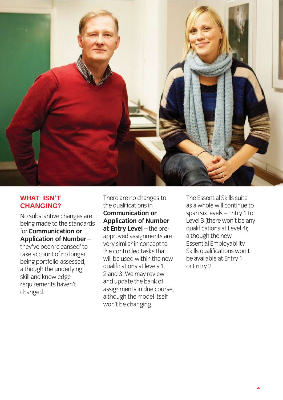

#### **WHAT ISN'T CHANGING?**

No substantive changes are<br>being made to the standards for **Communication or** Application of Number**they've been 'cleansed' to** take account of no longer being portfolio-assessed, although the underlying skill and knowledge requirements haven't requirements in the control of the control of the control of the control of the control of the control of the c<br>The control of the control of the control of the control of the control of the control of the control of the c changed.

There are no changes to<br>the qualifications in **Communication or Application of Number At Entry Level** - the preapproved assignments are very similar in concept to  $the$  controlled tasks that will be used within the new qualifications at levels 1, 2 and 3. We may review and update the bank of assignments in due course, although the model itself won't be changing. where  $\overline{a}$ 

The Essential Skills suite<br>as a whole will continue to span six levels - Entry 1 to Level 3 (there won't be any qualifications at Level 4); although the new Essential Employability Skills qualifications won't be available at Entry 1 or Entry 2.  $\cdots$  2.2.  $\cdots$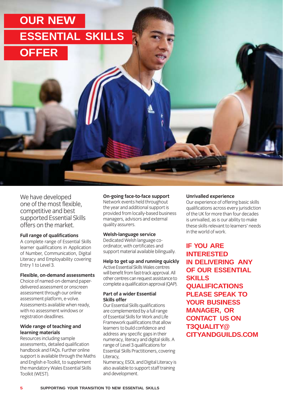## **OUR NEW ESSENTIAL SKILLS OFFER**

We have developed<br>one of the most flexible, competitive and best supported Essential Skills offers on the market

#### Full range of qualifications

**A** complete range of Essential Skills learner qualifications in Application of Number, Communication, Digital Literacy and Employability covering Entry 1 to Level 3. Entry 1 to Level 3.

### **Flexible, on-demand assessments**

delivered assessment or onscreen assessment through our online assessment platform, e-volve. Assessments available when ready. with no assessment windows or with the decedent with the control of the control of the control of the control of the control of the control o<br>registration deadlines registration deadlines.

### **Wide range of teaching and**

**Resources including sample** assessments, detailed qualification handbook and FAQs. Further online support is available through the Maths and English e-Toolkit, to supplement the mandatory Wales Essential Skills Toolkit (WEST).  $T = T$ 

**On-going face-to-face support**  the year and additional support is provided from locally-based business managers, advisors and external managers, and external extensions  $\mathbf{q}$  assured.

### **Welsh-language service**

ordinator, with certificates and sunnort material available biling  $s_{\text{max}}$ 

### **Help to get up and running quickly**

will benefit from fast-track approval. All other centres can request assistance to complete a qualification approval (OAP) complete quality of the complete  $\{X_1, Y_2, \ldots, X_n\}$ .

### **Part of a wider Essential**

**Our Essential Skills qualifications** are complemented by a full range of Essential Skills for Work and Life Framework qualifications that allow learners to build confidence and address any specific gaps in their numeracy, literacy and digital skills. A range of Level 3 qualifications for Essential Skills Practitioners, covering Literacy.

Numeracy, ESOL and Digital Literacy is also available to support staff training and development. and development.

**Unrivalled experience** qualifications across every iurisdiction of the UK for more than four decades is unrivalled, as is our ability to make these skills relevant to learners' needs in the world of work in the world of work.

**IF YOU ARE INTERESTED IN DELIVERING ANY OF OUR ESSENTIAL SKILLS QUALIFICATIONS PLEASE SPEAK TO YOUR BUSINESS MANAGER, OR CONTACT US ON T3QUALITY@ CITYANDGUILDS.COM**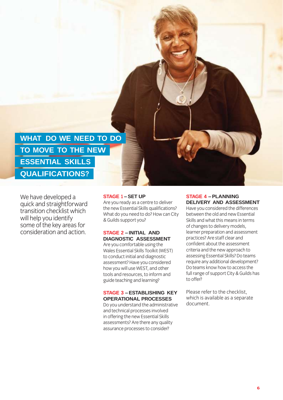**WHAT DO WE NEED TO DO TO MOVE TO THE NEW ESSENTIAL SKILLS QUALIFICATIONS?**

We have developed a<br>quick and straightforward transition checklist which will help you identify some of the key areas for consideration and action consideration and action.

#### **STAGE 1 – SET UP**

Are you ready as a centre to deliver<br>the new Essential Skills qualifications? What do you need to do? How can City & Guilds support you?  $\ldots$ 

#### **STAGE 2 – INITIAL AND DIAGNOSTIC ASSESSMENT**

Are you comfortable using the<br>Wales Essential Skills Toolkit (WEST) to conduct initial and diagnostic assessment? Have you considered how you will use WEST, and other tools and resources, to inform and guide teaching and learning? guide teaching and learning

#### **STAGE 3 – ESTABLISHING KEY OPERATIONAL PROCESSES**

Do you understand the administrative<br>and technical processes involved in offering the new Essential Skills assessments? Are there any quality assurance processes to consider? assurance processes to consider?

#### **STAGE 4 – PLANNING DELIVERY AND ASSESSMENT**

Have you considered the differences<br>between the old and new Essential Skills and what this means in terms of changes to delivery models, learner preparation and assessment practices? Are staff clear and confident about the assessment criteria and the new approach to assessing Essential Skills? Do teams require any additional development? Do teams know how to access the full range of support City & Guilds has to offer? to offer?

Please refer to the checklist,<br>which is available as a separate document. document.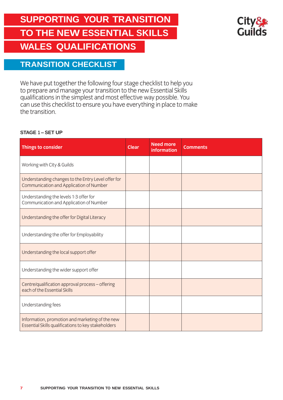### **SUPPORTING YOUR TRANSITION TO THE NEW ESSENTIAL SKILLS WALES QUALIFICATIONS**



### **TRANSITION CHECKLIST**

We have put together the following four stage checklist to help you<br>to prepare and manage your transition to the new Essential Skills qualifications in the simplest and most effective way possible. You can use this checklist to ensure you have everything in place to make the transition. the transition.

#### **STAGE 1 – SET UP**

| Things to consider                                                                                     | <b>Clear</b> | <b>Need more</b><br><b>information</b> | <b>Comments</b> |
|--------------------------------------------------------------------------------------------------------|--------------|----------------------------------------|-----------------|
| Working with City & Guilds                                                                             |              |                                        |                 |
| Understanding changes to the Entry Level offer for<br>Communication and Application of Number          |              |                                        |                 |
| Understanding the levels 1-3 offer for<br>Communication and Application of Number                      |              |                                        |                 |
| Understanding the offer for Digital Literacy                                                           |              |                                        |                 |
| Understanding the offer for Employability                                                              |              |                                        |                 |
| Understanding the local support offer                                                                  |              |                                        |                 |
| Understanding the wider support offer                                                                  |              |                                        |                 |
| Centre/qualification approval process - offering<br>each of the Essential Skills                       |              |                                        |                 |
| Understanding fees                                                                                     |              |                                        |                 |
| Information, promotion and marketing of the new<br>Essential Skills qualifications to key stakeholders |              |                                        |                 |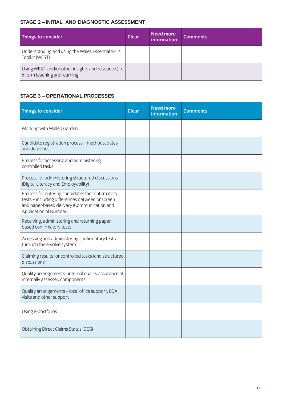#### **STAGE 2 – INITIAL AND DIAGNOSTIC ASSESSMENT**

| Things to consider                                                                  | <b>Clear</b> | Need more<br>information | <b>Comments</b> |
|-------------------------------------------------------------------------------------|--------------|--------------------------|-----------------|
| Understanding and using the Wales Essential Skills<br>Toolkit (WEST)                |              |                          |                 |
| Using WEST (and/or other insights and resources) to<br>inform teaching and learning |              |                          |                 |

#### **STAGE 3 – OPERATIONAL PROCESSES**

| <b>Things to consider</b>                                                                                                                                                 | <b>Clear</b> | <b>Need more</b><br><b>information</b> | <b>Comments</b> |
|---------------------------------------------------------------------------------------------------------------------------------------------------------------------------|--------------|----------------------------------------|-----------------|
| Working with Walled Garden                                                                                                                                                |              |                                        |                 |
| Candidate registration process - methods, dates<br>and deadlines                                                                                                          |              |                                        |                 |
| Process for accessing and administering<br>controlled tasks                                                                                                               |              |                                        |                 |
| Process for administering structured discussions<br>(Digital Literacy and Employability)                                                                                  |              |                                        |                 |
| Process for entering candidates for confirmatory<br>tests-including differences between onscreen<br>and paper-based delivery (Communication and<br>Application of Number) |              |                                        |                 |
| Receiving, administering and returning paper-<br>based confirmatory tests                                                                                                 |              |                                        |                 |
| Accessing and administering confirmatory tests<br>through the e-volve system                                                                                              |              |                                        |                 |
| Claiming results for controlled tasks (and structured<br>discussions)                                                                                                     |              |                                        |                 |
| Quality arrangements - internal quality assurance of<br>internally assessed components                                                                                    |              |                                        |                 |
| Quality arrangements - local office support, EQA<br>visits and other support                                                                                              |              |                                        |                 |
| Using e-portfolios                                                                                                                                                        |              |                                        |                 |
| <b>Obtaining Direct Claims Status (DCS)</b>                                                                                                                               |              |                                        |                 |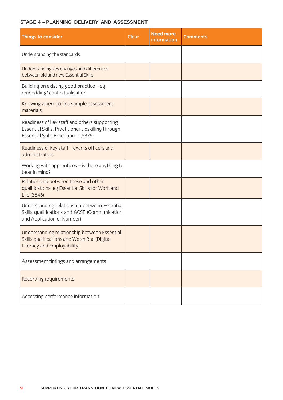#### **STAGE 4 – PLANNING DELIVERY AND ASSESSMENT**

| Things to consider                                                                                                                        | <b>Clear</b> | <b>Need more</b><br><b>information</b> | <b>Comments</b> |
|-------------------------------------------------------------------------------------------------------------------------------------------|--------------|----------------------------------------|-----------------|
| Understanding the standards                                                                                                               |              |                                        |                 |
| Understanding key changes and differences<br>between old and new Essential Skills                                                         |              |                                        |                 |
| Building on existing good practice $-$ eg<br>embedding/contextualisation                                                                  |              |                                        |                 |
| Knowing where to find sample assessment<br>materials                                                                                      |              |                                        |                 |
| Readiness of key staff and others supporting<br>Essential Skills. Practitioner upskilling through<br>Essential Skills Practitioner (8375) |              |                                        |                 |
| Readiness of key staff - exams officers and<br>administrators                                                                             |              |                                        |                 |
| Working with apprentices $-$ is there anything to<br>bear in mind?                                                                        |              |                                        |                 |
| Relationship between these and other<br>qualifications, eg Essential Skills for Work and<br>Life (3846)                                   |              |                                        |                 |
| Understanding relationship between Essential<br>Skills qualifications and GCSE (Communication<br>and Application of Number)               |              |                                        |                 |
| Understanding relationship between Essential<br>Skills qualifications and Welsh Bac (Digital<br>Literacy and Employability)               |              |                                        |                 |
| Assessment timings and arrangements                                                                                                       |              |                                        |                 |
| Recording requirements                                                                                                                    |              |                                        |                 |
| Accessing performance information                                                                                                         |              |                                        |                 |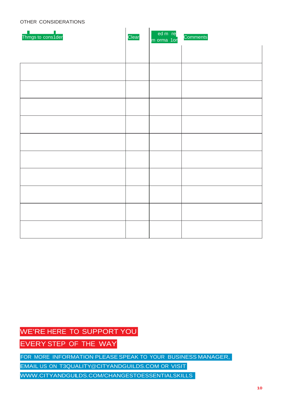#### OTHER CONSIDERATIONS

| Thmgs to cons1der | Clear | ed m re<br>m orma 1or | Comments |
|-------------------|-------|-----------------------|----------|
|                   |       |                       |          |
|                   |       |                       |          |
|                   |       |                       |          |
|                   |       |                       |          |
|                   |       |                       |          |
|                   |       |                       |          |
|                   |       |                       |          |
|                   |       |                       |          |
|                   |       |                       |          |
|                   |       |                       |          |
|                   |       |                       |          |

### WE'RE HERE TO SUPPORT YOU

EVERY STEP OF THE WAY

FOR MORE INFORMATION PLEASE SPEAK TO YOUR BUSINESS MANAGER,

EMAIL US ON T3QUALITY@CITYANDGUILDS.COM OR VISIT

WWW.CITYANDGULDS.COM/CHANGESTOESSENTIALSKILLS